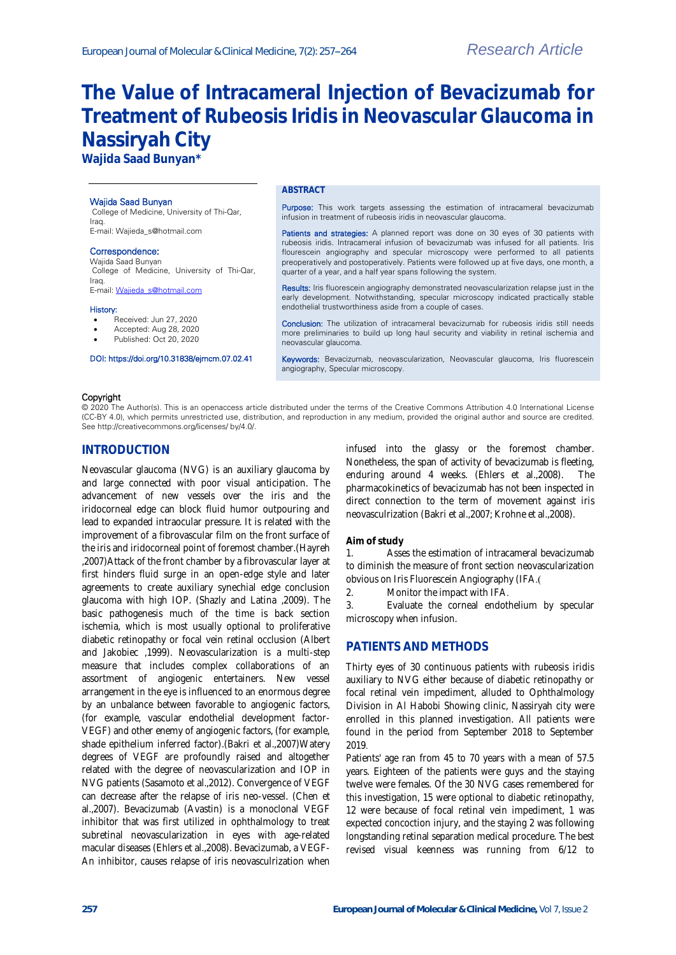# **The Value of Intracameral Injection of Bevacizumab for Treatment of Rubeosis Iridis in Neovascular Glaucoma in Nassiryah City**

**Wajida Saad Bunyan\***

#### Wajida Saad Bunyan

College of Medicine, University of Thi-Qar, Iraq. E-mail: Wajieda\_s@hotmail.com

#### Correspondence:

Wajida Saad Bunyan College of Medicine, University of Thi-Qar, Iraq. E-mail[: Wajieda\\_s@hotmail.com](mailto:Wajieda_s@hotmail.com)

# History:

- Received: Jun 27, 2020
- Accepted: Aug 28, 2020 Published: Oct 20, 2020
- 

# DOI: https://doi.org/10.31838/ejmcm.07.02.41

#### **ABSTRACT**

Purpose: This work targets assessing the estimation of intracameral bevacizumab infusion in treatment of rubeosis iridis in neovascular glaucoma.

Patients and strategies: A planned report was done on 30 eyes of 30 patients with rubeosis iridis. Intracameral infusion of bevacizumab was infused for all patients. Iris flourescein angiography and specular microscopy were performed to all patients preoperatively and postoperatively. Patients were followed up at five days, one month, a quarter of a year, and a half year spans following the system.

Results: Iris fluorescein angiography demonstrated neovascularization relapse just in the early development. Notwithstanding, specular microscopy indicated practically stable endothelial trustworthiness aside from a couple of cases.

Conclusion: The utilization of intracameral bevacizumab for rubeosis iridis still needs more preliminaries to build up long haul security and viability in retinal ischemia and neovascular glaucoma.

Keywords: Bevacizumab, neovascularization, Neovascular glaucoma, Iris fluorescein angiography, Specular microscopy.

#### Copyright

© 2020 The Author(s). This is an openaccess article distributed under the terms of the Creative Commons Attribution 4.0 International License (CC-BY 4.0), which permits unrestricted use, distribution, and reproduction in any medium, provided the original author and source are credited. See http://creativecommons.org/licenses/ by/4.0/.

#### **INTRODUCTION**

Neovascular glaucoma (NVG) is an auxiliary glaucoma by and large connected with poor visual anticipation. The advancement of new vessels over the iris and the iridocorneal edge can block fluid humor outpouring and lead to expanded intraocular pressure. It is related with the improvement of a fibrovascular film on the front surface of the iris and iridocorneal point of foremost chamber.(Hayreh ,2007)Attack of the front chamber by a fibrovascular layer at first hinders fluid surge in an open-edge style and later agreements to create auxiliary synechial edge conclusion glaucoma with high IOP. (Shazly and Latina ,2009). The basic pathogenesis much of the time is back section ischemia, which is most usually optional to proliferative diabetic retinopathy or focal vein retinal occlusion (Albert and Jakobiec ,1999). Neovascularization is a multi-step measure that includes complex collaborations of an assortment of angiogenic entertainers. New vessel arrangement in the eye is influenced to an enormous degree by an unbalance between favorable to angiogenic factors, (for example, vascular endothelial development factor-VEGF) and other enemy of angiogenic factors, (for example, shade epithelium inferred factor).(Bakri et al.,2007)Watery degrees of VEGF are profoundly raised and altogether related with the degree of neovascularization and IOP in NVG patients (Sasamoto et al.,2012). Convergence of VEGF can decrease after the relapse of iris neo-vessel. (Chen et al.,2007). Bevacizumab (Avastin) is a monoclonal VEGF inhibitor that was first utilized in ophthalmology to treat subretinal neovascularization in eyes with age-related macular diseases (Ehlers et al.,2008). Bevacizumab, a VEGF-An inhibitor, causes relapse of iris neovasculrization when

infused into the glassy or the foremost chamber. Nonetheless, the span of activity of bevacizumab is fleeting, enduring around 4 weeks. (Ehlers et al.,2008). The pharmacokinetics of bevacizumab has not been inspected in direct connection to the term of movement against iris neovasculrization (Bakri et al.,2007; Krohne et al.,2008).

#### **Aim of study**

1. Asses the estimation of intracameral bevacizumab to diminish the measure of front section neovascularization obvious on Iris Fluorescein Angiography (IFA.)

2. Monitor the impact with IFA.

3. Evaluate the corneal endothelium by specular microscopy when infusion.

### **PATIENTS AND METHODS**

Thirty eyes of 30 continuous patients with rubeosis iridis auxiliary to NVG either because of diabetic retinopathy or focal retinal vein impediment, alluded to Ophthalmology Division in Al Habobi Showing clinic, Nassiryah city were enrolled in this planned investigation. All patients were found in the period from September 2018 to September 2019.

Patients' age ran from 45 to 70 years with a mean of 57.5 years. Eighteen of the patients were guys and the staying twelve were females. Of the 30 NVG cases remembered for this investigation, 15 were optional to diabetic retinopathy, 12 were because of focal retinal vein impediment, 1 was expected concoction injury, and the staying 2 was following longstanding retinal separation medical procedure. The best revised visual keenness was running from 6/12 to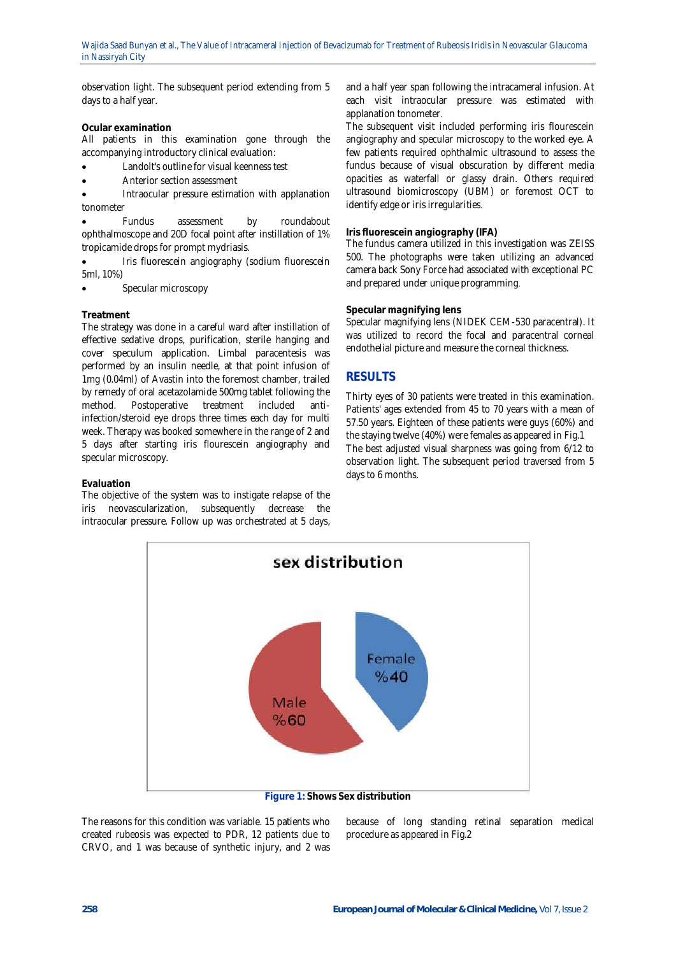observation light. The subsequent period extending from 5 days to a half year.

**Ocular examination**

All patients in this examination gone through the accompanying introductory clinical evaluation:

- Landolt's outline for visual keenness test
- Anterior section assessment

 Intraocular pressure estimation with applanation tonometer

 Fundus assessment by roundabout ophthalmoscope and 20D focal point after instillation of 1% tropicamide drops for prompt mydriasis.

 Iris fluorescein angiography (sodium fluorescein 5ml, 10%)

• Specular microscopy

#### **Treatment**

The strategy was done in a careful ward after instillation of effective sedative drops, purification, sterile hanging and cover speculum application. Limbal paracentesis was performed by an insulin needle, at that point infusion of 1mg (0.04ml) of Avastin into the foremost chamber, trailed by remedy of oral acetazolamide 500mg tablet following the method. Postoperative treatment included antiinfection/steroid eye drops three times each day for multi week. Therapy was booked somewhere in the range of 2 and 5 days after starting iris flourescein angiography and specular microscopy.

#### **Evaluation**

The objective of the system was to instigate relapse of the iris neovascularization, subsequently decrease the intraocular pressure. Follow up was orchestrated at 5 days, and a half year span following the intracameral infusion. At each visit intraocular pressure was estimated with applanation tonometer.

The subsequent visit included performing iris flourescein angiography and specular microscopy to the worked eye. A few patients required ophthalmic ultrasound to assess the fundus because of visual obscuration by different media opacities as waterfall or glassy drain. Others required ultrasound biomicroscopy (UBM) or foremost OCT to identify edge or iris irregularities.

#### **Iris fluorescein angiography (IFA)**

The fundus camera utilized in this investigation was ZEISS 500. The photographs were taken utilizing an advanced camera back Sony Force had associated with exceptional PC and prepared under unique programming.

#### **Specular magnifying lens**

Specular magnifying lens (NIDEK CEM-530 paracentral). It was utilized to record the focal and paracentral corneal endothelial picture and measure the corneal thickness.

# **RESULTS**

Thirty eyes of 30 patients were treated in this examination. Patients' ages extended from 45 to 70 years with a mean of 57.50 years. Eighteen of these patients were guys (60%) and the staying twelve (40%) were females as appeared in Fig.1 The best adjusted visual sharpness was going from 6/12 to observation light. The subsequent period traversed from 5 days to 6 months.



**Figure 1: Shows Sex distribution**

The reasons for this condition was variable. 15 patients who created rubeosis was expected to PDR, 12 patients due to CRVO, and 1 was because of synthetic injury, and 2 was

because of long standing retinal separation medical procedure as appeared in Fig.2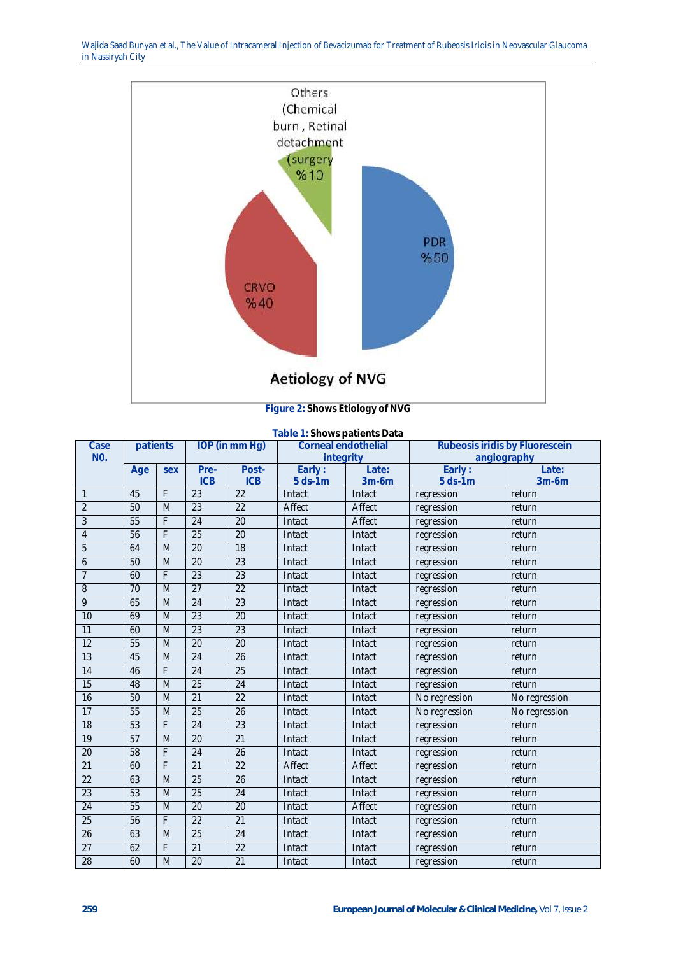Wajida Saad Bunyan et al., The Value of Intracameral Injection of Bevacizumab for Treatment of Rubeosis Iridis in Neovascular Glaucoma in Nassiryah City



**Figure 2: Shows Etiology of NVG**

| Table 1: Shows patients Data |          |     |                    |                     |                                  |                   |                                               |                   |
|------------------------------|----------|-----|--------------------|---------------------|----------------------------------|-------------------|-----------------------------------------------|-------------------|
| Case                         | patients |     | IOP (in mm Hg)     |                     | Corneal endothelial<br>integrity |                   | Rubeosis iridis by Fluorescein<br>angiography |                   |
| NO.                          |          |     |                    |                     |                                  |                   |                                               |                   |
|                              | Age      | sex | Pre-<br><b>ICB</b> | Post-<br><b>ICB</b> | Early:                           | Late:             | Early:                                        | Late:             |
| 1                            | 45       | F   | $\overline{23}$    | 22                  | $5$ ds-1 $m$<br>Intact           | $3m-6m$<br>Intact | $5$ ds-1 $m$<br>regression                    | $3m-6m$<br>return |
| $\overline{2}$               | 50       | M   | 23                 | 22                  | Affect                           | Affect            |                                               | return            |
| 3                            | 55       | F   | $\overline{24}$    | 20                  | Intact                           | Affect            | regression                                    |                   |
|                              |          | F   | 25                 | $\overline{20}$     |                                  |                   | regression                                    | return            |
| $\overline{4}$               | 56       |     |                    |                     | Intact                           | Intact            | regression                                    | return            |
| 5                            | 64       | M   | 20                 | 18                  | Intact                           | Intact            | regression                                    | return            |
| 6                            | 50       | M   | 20                 | 23                  | Intact                           | Intact            | regression                                    | return            |
| $\overline{7}$               | 60       | F   | 23                 | 23                  | Intact                           | Intact            | regression                                    | return            |
| 8                            | 70       | M   | 27                 | 22                  | Intact                           | Intact            | regression                                    | return            |
| 9                            | 65       | M   | 24                 | 23                  | Intact                           | Intact            | regression                                    | return            |
| 10                           | 69       | M   | 23                 | 20                  | Intact                           | Intact            | regression                                    | return            |
| 11                           | 60       | M   | 23                 | 23                  | Intact                           | Intact            | regression                                    | return            |
| $\overline{12}$              | 55       | M   | $\overline{20}$    | $\overline{20}$     | Intact                           | Intact            | regression                                    | return            |
| 13                           | 45       | M   | 24                 | 26                  | Intact                           | Intact            | regression                                    | return            |
| 14                           | 46       | F   | 24                 | 25                  | Intact                           | Intact            | regression                                    | return            |
| 15                           | 48       | M   | $\overline{25}$    | $\overline{24}$     | Intact                           | Intact            | regression                                    | return            |
| 16                           | 50       | M   | $\overline{21}$    | $\overline{22}$     | Intact                           | Intact            | No regression                                 | No regression     |
| 17                           | 55       | M   | 25                 | 26                  | Intact                           | Intact            | No regression                                 | No regression     |
| 18                           | 53       | F   | 24                 | 23                  | Intact                           | Intact            | regression                                    | return            |
| 19                           | 57       | M   | 20                 | 21                  | Intact                           | Intact            | regression                                    | return            |
| $\overline{20}$              | 58       | F   | 24                 | $\overline{26}$     | Intact                           | Intact            | regression                                    | return            |
| 21                           | 60       | F   | 21                 | 22                  | Affect                           | Affect            | regression                                    | return            |
| 22                           | 63       | M   | 25                 | 26                  | Intact                           | Intact            | regression                                    | return            |
| 23                           | 53       | M   | 25                 | 24                  | Intact                           | Intact            | regression                                    | return            |
| 24                           | 55       | M   | 20                 | 20                  | Intact                           | Affect            | regression                                    | return            |
| 25                           | 56       | F   | 22                 | 21                  | Intact                           | Intact            | regression                                    | return            |
| 26                           | 63       | M   | 25                 | 24                  | Intact                           | Intact            | regression                                    | return            |
| 27                           | 62       | F   | 21                 | 22                  | Intact                           | Intact            | regression                                    | return            |
| $\overline{28}$              | 60       | M   | 20                 | $\overline{21}$     | Intact                           | Intact            | regression                                    | return            |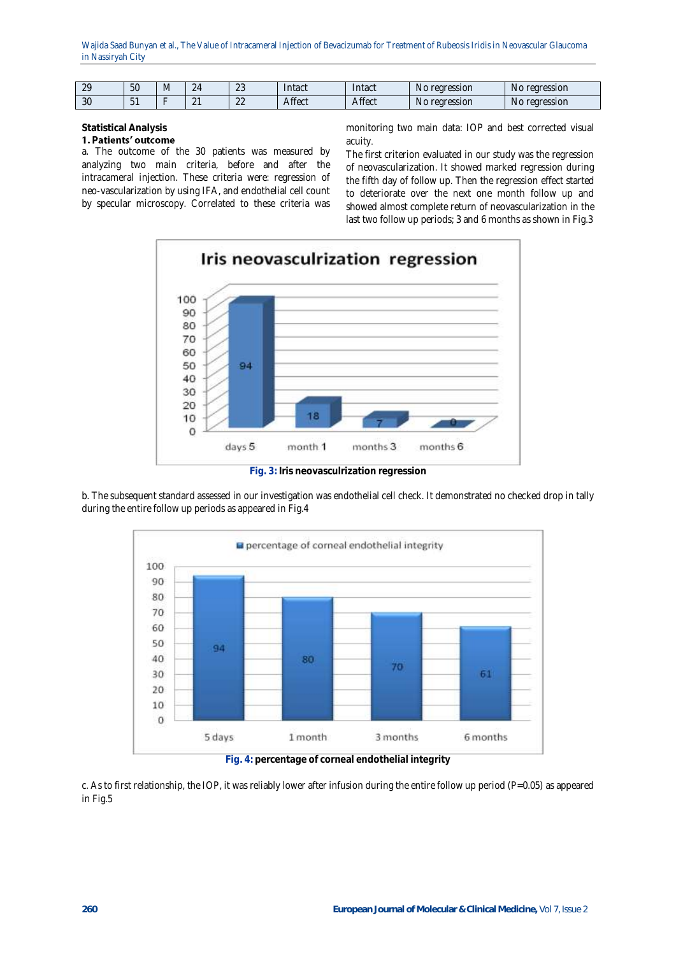Wajida Saad Bunyan et al., The Value of Intracameral Injection of Bevacizumab for Treatment of Rubeosis Iridis in Neovascular Glaucoma in Nassiryah City

| $\cap$<br><u>.</u> | 50       | IVI | <u>_</u>           | $\cap$<br>$\sim$ | ntact         | Intact | regression<br>N <sub>C</sub> | rearession<br>N <sub>C</sub> |
|--------------------|----------|-----|--------------------|------------------|---------------|--------|------------------------------|------------------------------|
| $\cap$<br>JU       | $\cup$ . |     | $\sim$<br><u>.</u> | $\cap$           | <b>Affect</b> | Affect | rearession<br>N <sub>t</sub> | rearession<br>N <sub>G</sub> |

# **Statistical Analysis**

1. Patients' outcome a. The outcome of the 30 patients was measured by analyzing two main criteria, before and after the intracameral injection. These criteria were: regression of neo-vascularization by using IFA, and endothelial cell count by specular microscopy. Correlated to these criteria was

monitoring two main data: IOP and best corrected visual acuity.

The first criterion evaluated in our study was the regression of neovascularization. It showed marked regression during the fifth day of follow up. Then the regression effect started to deteriorate over the next one month follow up and showed almost complete return of neovascularization in the last two follow up periods; 3 and 6 months as shown in Fig.3



**Fig. 3: Iris neovasculrization regression**

b. The subsequent standard assessed in our investigation was endothelial cell check. It demonstrated no checked drop in tally during the entire follow up periods as appeared in Fig.4



**Fig. 4: percentage of corneal endothelial integrity**

c. As to first relationship, the IOP, it was reliably lower after infusion during the entire follow up period (P=0.05) as appeared in Fig.5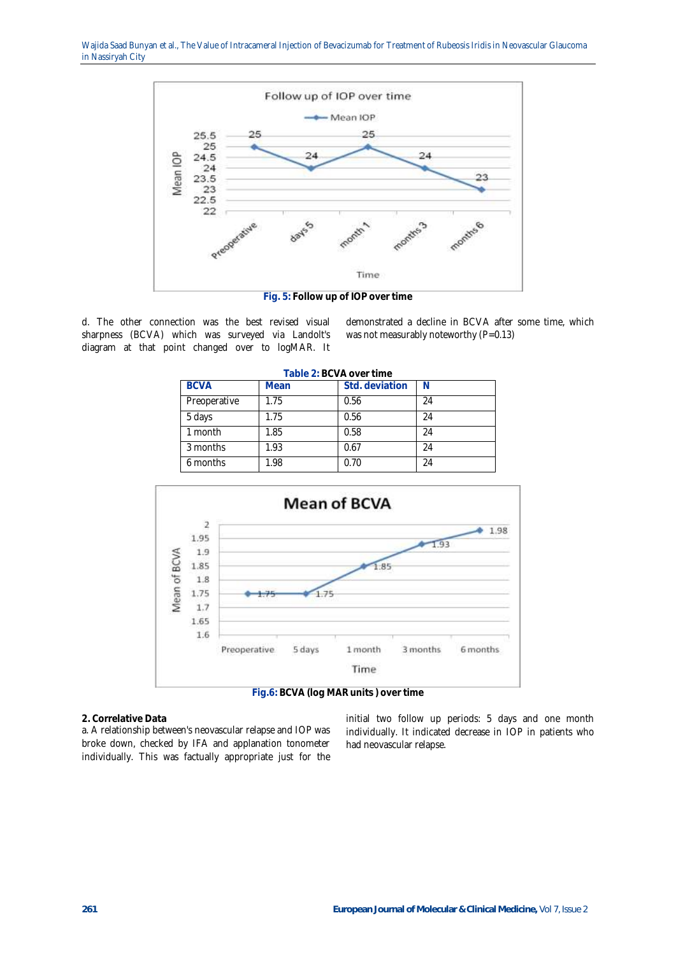

d. The other connection was the best revised visual sharpness (BCVA) which was surveyed via Landolt's diagram at that point changed over to logMAR. It

demonstrated a decline in BCVA after some time, which was not measurably noteworthy (P=0.13)

| <b>BCVA</b>  | Mean | Std. deviation |    |
|--------------|------|----------------|----|
| Preoperative | 1.75 | 0.56           | 24 |
| 5 days       | 1.75 | 0.56           | 24 |
| 1 month      | 1.85 | 0.58           | 24 |
| 3 months     | 1.93 | 0.67           | 24 |
| 6 months     | 1.98 | 0.70           | 24 |

**Table 2: BCVA over time**



**2. Correlative Data**

a. A relationship between's neovascular relapse and IOP was broke down, checked by IFA and applanation tonometer individually. This was factually appropriate just for the

initial two follow up periods: 5 days and one month individually. It indicated decrease in IOP in patients who had neovascular relapse.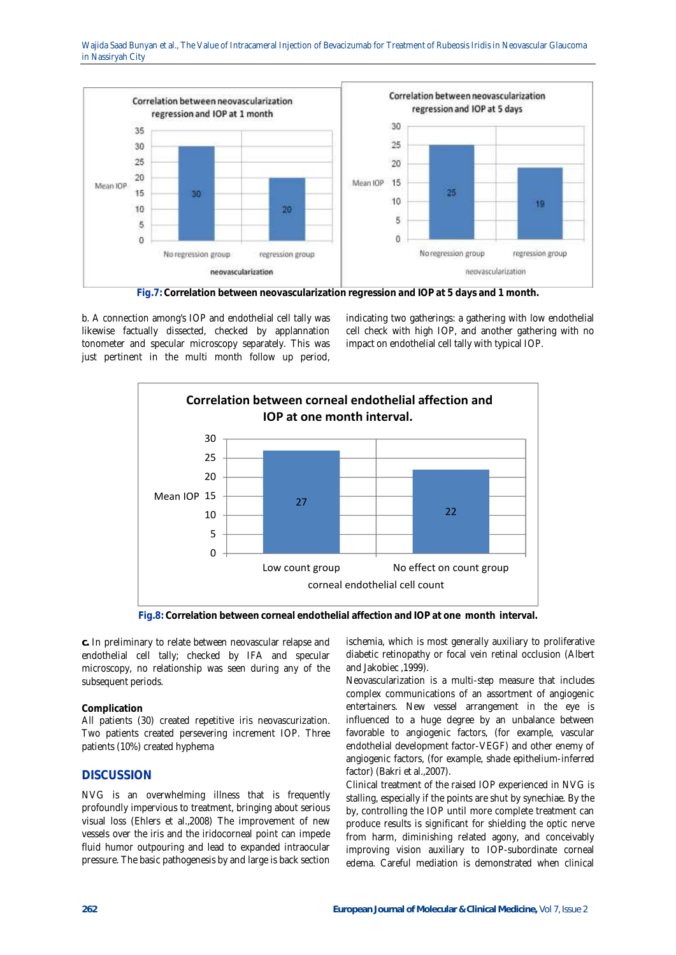Wajida Saad Bunyan et al., The Value of Intracameral Injection of Bevacizumab for Treatment of Rubeosis Iridis in Neovascular Glaucoma in Nassiryah City



**Fig.7: Correlation between neovascularization regression and IOP at 5 days and 1 month.**

b. A connection among's IOP and endothelial cell tally was likewise factually dissected, checked by applannation tonometer and specular microscopy separately. This was just pertinent in the multi month follow up period,

indicating two gatherings: a gathering with low endothelial cell check with high IOP, and another gathering with no impact on endothelial cell tally with typical IOP.



**Fig.8: Correlation between corneal endothelial affection and IOP at one month interval.**

**c.** In preliminary to relate between neovascular relapse and endothelial cell tally; checked by IFA and specular microscopy, no relationship was seen during any of the subsequent periods.

### **Complication**

All patients (30) created repetitive iris neovascurization. Two patients created persevering increment IOP. Three patients (10%) created hyphema

# **DISCUSSION**

NVG is an overwhelming illness that is frequently profoundly impervious to treatment, bringing about serious visual loss (Ehlers et al.,2008) The improvement of new vessels over the iris and the iridocorneal point can impede fluid humor outpouring and lead to expanded intraocular pressure. The basic pathogenesis by and large is back section ischemia, which is most generally auxiliary to proliferative diabetic retinopathy or focal vein retinal occlusion (Albert and Jakobiec ,1999).

Neovascularization is a multi-step measure that includes complex communications of an assortment of angiogenic entertainers. New vessel arrangement in the eye is influenced to a huge degree by an unbalance between favorable to angiogenic factors, (for example, vascular endothelial development factor-VEGF) and other enemy of angiogenic factors, (for example, shade epithelium-inferred factor) (Bakri et al.,2007).

Clinical treatment of the raised IOP experienced in NVG is stalling, especially if the points are shut by synechiae. By the by, controlling the IOP until more complete treatment can produce results is significant for shielding the optic nerve from harm, diminishing related agony, and conceivably improving vision auxiliary to IOP-subordinate corneal edema. Careful mediation is demonstrated when clinical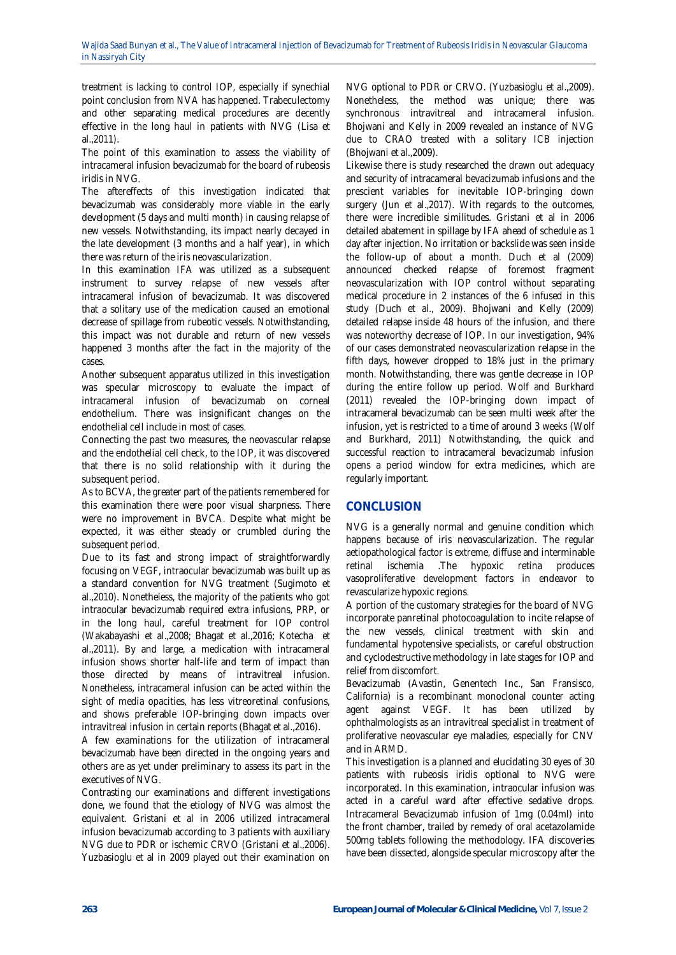treatment is lacking to control IOP, especially if synechial point conclusion from NVA has happened. Trabeculectomy and other separating medical procedures are decently effective in the long haul in patients with NVG (Lisa et al.,2011).

The point of this examination to assess the viability of intracameral infusion bevacizumab for the board of rubeosis iridis in NVG.

The aftereffects of this investigation indicated that bevacizumab was considerably more viable in the early development (5 days and multi month) in causing relapse of new vessels. Notwithstanding, its impact nearly decayed in the late development (3 months and a half year), in which there was return of the iris neovascularization.

In this examination IFA was utilized as a subsequent instrument to survey relapse of new vessels after intracameral infusion of bevacizumab. It was discovered that a solitary use of the medication caused an emotional decrease of spillage from rubeotic vessels. Notwithstanding, this impact was not durable and return of new vessels happened 3 months after the fact in the majority of the cases.

Another subsequent apparatus utilized in this investigation was specular microscopy to evaluate the impact of intracameral infusion of bevacizumab on corneal endothelium. There was insignificant changes on the endothelial cell include in most of cases.

Connecting the past two measures, the neovascular relapse and the endothelial cell check, to the IOP, it was discovered that there is no solid relationship with it during the subsequent period.

As to BCVA, the greater part of the patients remembered for this examination there were poor visual sharpness. There were no improvement in BVCA. Despite what might be expected, it was either steady or crumbled during the subsequent period.

Due to its fast and strong impact of straightforwardly focusing on VEGF, intraocular bevacizumab was built up as a standard convention for NVG treatment (Sugimoto et al.,2010). Nonetheless, the majority of the patients who got intraocular bevacizumab required extra infusions, PRP, or in the long haul, careful treatment for IOP control (Wakabayashi et al.,2008; Bhagat et al.,2016; Kotecha et al.,2011). By and large, a medication with intracameral infusion shows shorter half-life and term of impact than those directed by means of intravitreal infusion. Nonetheless, intracameral infusion can be acted within the sight of media opacities, has less vitreoretinal confusions, and shows preferable IOP-bringing down impacts over intravitreal infusion in certain reports (Bhagat et al.,2016).

A few examinations for the utilization of intracameral bevacizumab have been directed in the ongoing years and others are as yet under preliminary to assess its part in the executives of NVG.

Contrasting our examinations and different investigations done, we found that the etiology of NVG was almost the equivalent. Gristani et al in 2006 utilized intracameral infusion bevacizumab according to 3 patients with auxiliary NVG due to PDR or ischemic CRVO (Gristani et al.,2006). Yuzbasioglu et al in 2009 played out their examination on

NVG optional to PDR or CRVO. (Yuzbasioglu et al.,2009). Nonetheless, the method was unique; there was synchronous intravitreal and intracameral infusion. Bhojwani and Kelly in 2009 revealed an instance of NVG due to CRAO treated with a solitary ICB injection (Bhojwani et al.,2009).

Likewise there is study researched the drawn out adequacy and security of intracameral bevacizumab infusions and the prescient variables for inevitable IOP-bringing down surgery (Jun et al.,2017). With regards to the outcomes, there were incredible similitudes. Gristani et al in 2006 detailed abatement in spillage by IFA ahead of schedule as 1 day after injection. No irritation or backslide was seen inside the follow-up of about a month. Duch et al (2009) announced checked relapse of foremost fragment neovascularization with IOP control without separating medical procedure in 2 instances of the 6 infused in this study (Duch et al., 2009). Bhojwani and Kelly (2009) detailed relapse inside 48 hours of the infusion, and there was noteworthy decrease of IOP. In our investigation, 94% of our cases demonstrated neovascularization relapse in the fifth days, however dropped to 18% just in the primary month. Notwithstanding, there was gentle decrease in IOP during the entire follow up period. Wolf and Burkhard (2011) revealed the IOP-bringing down impact of intracameral bevacizumab can be seen multi week after the infusion, yet is restricted to a time of around 3 weeks (Wolf and Burkhard, 2011) Notwithstanding, the quick and successful reaction to intracameral bevacizumab infusion opens a period window for extra medicines, which are regularly important.

# **CONCLUSION**

NVG is a generally normal and genuine condition which happens because of iris neovascularization. The regular aetiopathological factor is extreme, diffuse and interminable retinal ischemia .The hypoxic retina produces vasoproliferative development factors in endeavor to revascularize hypoxic regions.

A portion of the customary strategies for the board of NVG incorporate panretinal photocoagulation to incite relapse of the new vessels, clinical treatment with skin and fundamental hypotensive specialists, or careful obstruction and cyclodestructive methodology in late stages for IOP and relief from discomfort.

Bevacizumab (Avastin, Genentech Inc., San Fransisco, California) is a recombinant monoclonal counter acting agent against VEGF. It has been utilized by ophthalmologists as an intravitreal specialist in treatment of proliferative neovascular eye maladies, especially for CNV and in ARMD.

This investigation is a planned and elucidating 30 eyes of 30 patients with rubeosis iridis optional to NVG were incorporated. In this examination, intraocular infusion was acted in a careful ward after effective sedative drops. Intracameral Bevacizumab infusion of 1mg (0.04ml) into the front chamber, trailed by remedy of oral acetazolamide 500mg tablets following the methodology. IFA discoveries have been dissected, alongside specular microscopy after the